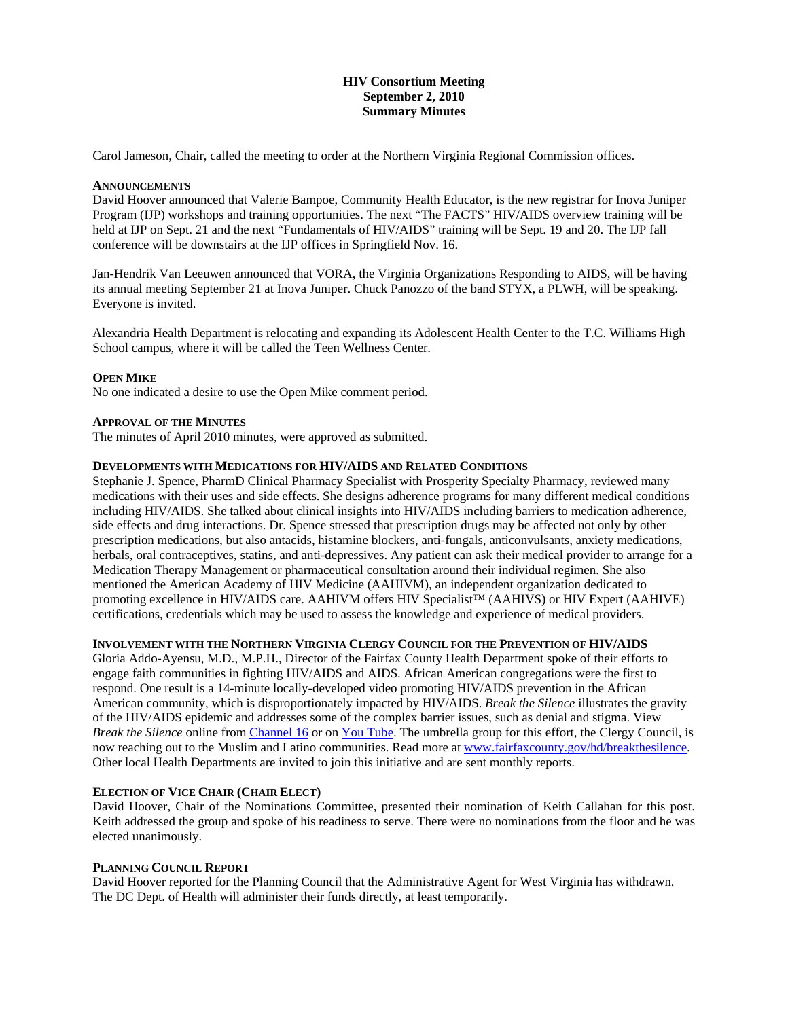# **HIV Consortium Meeting September 2, 2010 Summary Minutes**

Carol Jameson, Chair, called the meeting to order at the Northern Virginia Regional Commission offices.

#### **ANNOUNCEMENTS**

David Hoover announced that Valerie Bampoe, Community Health Educator, is the new registrar for Inova Juniper Program (IJP) workshops and training opportunities. The next "The FACTS" HIV/AIDS overview training will be held at IJP on Sept. 21 and the next "Fundamentals of HIV/AIDS" training will be Sept. 19 and 20. The IJP fall conference will be downstairs at the IJP offices in Springfield Nov. 16.

Jan-Hendrik Van Leeuwen announced that VORA, the Virginia Organizations Responding to AIDS, will be having its annual meeting September 21 at Inova Juniper. Chuck Panozzo of the band STYX, a PLWH, will be speaking. Everyone is invited.

Alexandria Health Department is relocating and expanding its Adolescent Health Center to the T.C. Williams High School campus, where it will be called the Teen Wellness Center.

#### **OPEN MIKE**

No one indicated a desire to use the Open Mike comment period.

#### **APPROVAL OF THE MINUTES**

The minutes of April 2010 minutes, were approved as submitted.

#### **DEVELOPMENTS WITH MEDICATIONS FOR HIV/AIDS AND RELATED CONDITIONS**

Stephanie J. Spence, PharmD Clinical Pharmacy Specialist with Prosperity Specialty Pharmacy, reviewed many medications with their uses and side effects. She designs adherence programs for many different medical conditions including HIV/AIDS. She talked about clinical insights into HIV/AIDS including barriers to medication adherence, side effects and drug interactions. Dr. Spence stressed that prescription drugs may be affected not only by other prescription medications, but also antacids, histamine blockers, anti-fungals, anticonvulsants, anxiety medications, herbals, oral contraceptives, statins, and anti-depressives. Any patient can ask their medical provider to arrange for a Medication Therapy Management or pharmaceutical consultation around their individual regimen. She also mentioned the American Academy of HIV Medicine (AAHIVM), an independent organization dedicated to promoting excellence in HIV/AIDS care. AAHIVM offers HIV Specialist™ (AAHIVS) or HIV Expert (AAHIVE) certifications, credentials which may be used to assess the knowledge and experience of medical providers.

#### **INVOLVEMENT WITH THE NORTHERN VIRGINIA CLERGY COUNCIL FOR THE PREVENTION OF HIV/AIDS**

Gloria Addo-Ayensu, M.D., M.P.H., Director of the Fairfax County Health Department spoke of their efforts to engage faith communities in fighting HIV/AIDS and AIDS. African American congregations were the first to respond. One result is a 14-minute locally-developed video promoting HIV/AIDS prevention in the African American community, which is disproportionately impacted by HIV/AIDS. *Break the Silence* illustrates the gravity of the HIV/AIDS epidemic and addresses some of the complex barrier issues, such as denial and stigma. View *Break the Silence* online from [Channel 16](http://www.fairfaxcounty.gov/cable/channel16/vod.htm) or on [You Tube.](http://www.fairfaxcounty.gov/offsite/?pg=http://www.youtube.com/watch?v=W5vccDfNsTs) The umbrella group for this effort, the Clergy Council, is now reaching out to the Muslim and Latino communities. Read more at [www.fairfaxcounty.gov/hd/breakthesilence.](www.fairfaxcounty.gov/hd/breakthesilence) Other local Health Departments are invited to join this initiative and are sent monthly reports.

# **ELECTION OF VICE CHAIR (CHAIR ELECT)**

David Hoover, Chair of the Nominations Committee, presented their nomination of Keith Callahan for this post. Keith addressed the group and spoke of his readiness to serve. There were no nominations from the floor and he was elected unanimously.

# **PLANNING COUNCIL REPORT**

David Hoover reported for the Planning Council that the Administrative Agent for West Virginia has withdrawn. The DC Dept. of Health will administer their funds directly, at least temporarily.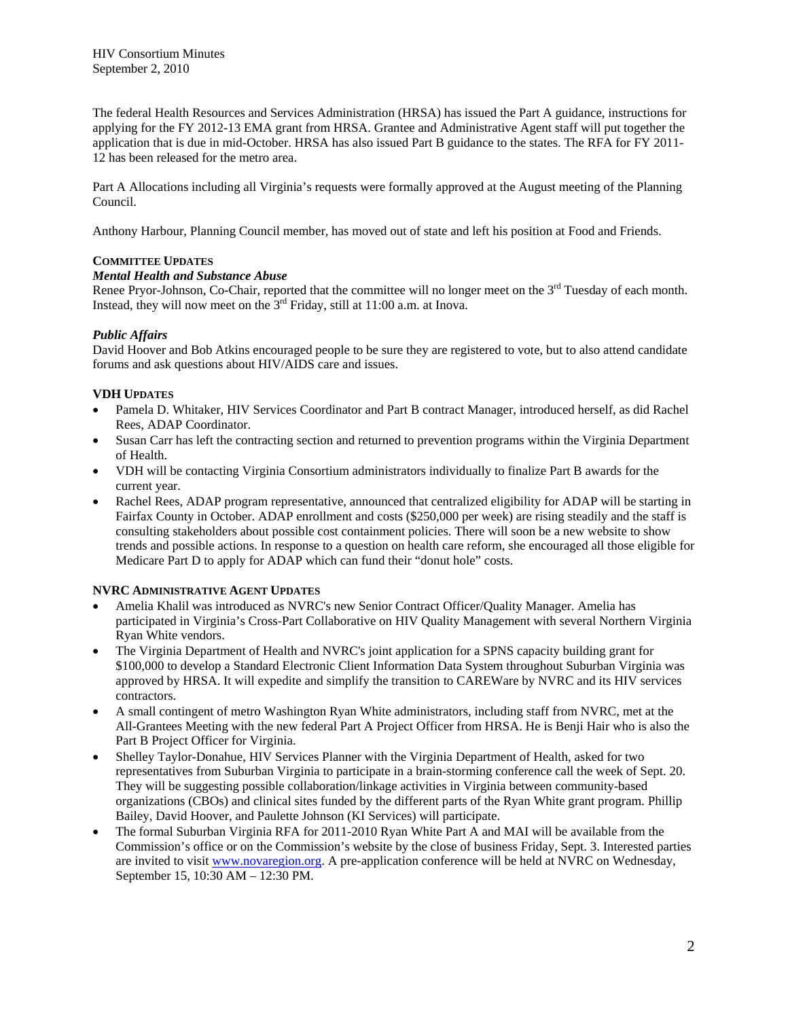HIV Consortium Minutes September 2, 2010

The federal Health Resources and Services Administration (HRSA) has issued the Part A guidance, instructions for applying for the FY 2012-13 EMA grant from HRSA. Grantee and Administrative Agent staff will put together the application that is due in mid-October. HRSA has also issued Part B guidance to the states. The RFA for FY 2011- 12 has been released for the metro area.

Part A Allocations including all Virginia's requests were formally approved at the August meeting of the Planning Council.

Anthony Harbour, Planning Council member, has moved out of state and left his position at Food and Friends.

# **COMMITTEE UPDATES**

# *Mental Health and Substance Abuse*

Renee Pryor-Johnson, Co-Chair, reported that the committee will no longer meet on the 3<sup>rd</sup> Tuesday of each month. Instead, they will now meet on the  $3<sup>rd</sup>$  Friday, still at 11:00 a.m. at Inova.

# *Public Affairs*

David Hoover and Bob Atkins encouraged people to be sure they are registered to vote, but to also attend candidate forums and ask questions about HIV/AIDS care and issues.

#### **VDH UPDATES**

- Pamela D. Whitaker, HIV Services Coordinator and Part B contract Manager, introduced herself, as did Rachel Rees, ADAP Coordinator.
- Susan Carr has left the contracting section and returned to prevention programs within the Virginia Department of Health.
- VDH will be contacting Virginia Consortium administrators individually to finalize Part B awards for the current year.
- Rachel Rees, ADAP program representative, announced that centralized eligibility for ADAP will be starting in Fairfax County in October. ADAP enrollment and costs (\$250,000 per week) are rising steadily and the staff is consulting stakeholders about possible cost containment policies. There will soon be a new website to show trends and possible actions. In response to a question on health care reform, she encouraged all those eligible for Medicare Part D to apply for ADAP which can fund their "donut hole" costs.

# **NVRC ADMINISTRATIVE AGENT UPDATES**

- Amelia Khalil was introduced as NVRC's new Senior Contract Officer/Quality Manager. Amelia has participated in Virginia's Cross-Part Collaborative on HIV Quality Management with several Northern Virginia Ryan White vendors.
- The Virginia Department of Health and NVRC's joint application for a SPNS capacity building grant for \$100,000 to develop a Standard Electronic Client Information Data System throughout Suburban Virginia was approved by HRSA. It will expedite and simplify the transition to CAREWare by NVRC and its HIV services contractors.
- A small contingent of metro Washington Ryan White administrators, including staff from NVRC, met at the All-Grantees Meeting with the new federal Part A Project Officer from HRSA. He is Benji Hair who is also the Part B Project Officer for Virginia.
- Shelley Taylor-Donahue, HIV Services Planner with the Virginia Department of Health, asked for two representatives from Suburban Virginia to participate in a brain-storming conference call the week of Sept. 20. They will be suggesting possible collaboration/linkage activities in Virginia between community-based organizations (CBOs) and clinical sites funded by the different parts of the Ryan White grant program. Phillip Bailey, David Hoover, and Paulette Johnson (KI Services) will participate.
- The formal Suburban Virginia RFA for 2011-2010 Ryan White Part A and MAI will be available from the Commission's office or on the Commission's website by the close of business Friday, Sept. 3. Interested parties are invited to visit [www.novaregion.org.](http://www.novaregion.org/) A pre-application conference will be held at NVRC on Wednesday, September 15, 10:30 AM – 12:30 PM.